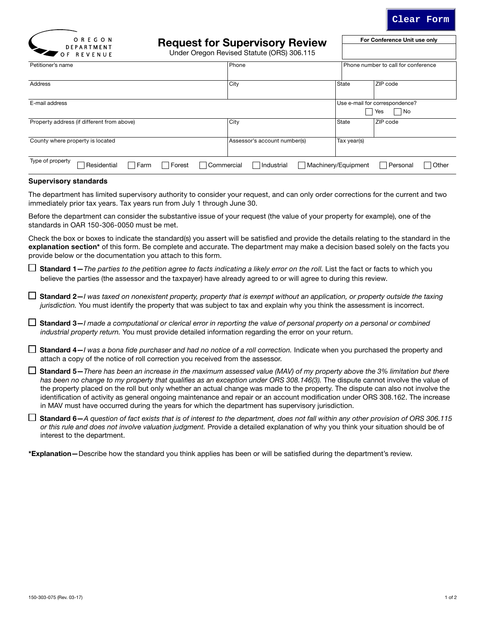

For Conference Unit use only



# Request for Supervisory Review

Under Oregon Revised Statute (ORS) 306.115

| VI NLVLINUL                                                            |                              |                     |                                             |  |
|------------------------------------------------------------------------|------------------------------|---------------------|---------------------------------------------|--|
| Petitioner's name                                                      | Phone                        |                     | Phone number to call for conference         |  |
| <b>Address</b>                                                         | City                         | State               | ZIP code                                    |  |
| E-mail address                                                         |                              |                     | Use e-mail for correspondence?<br>No<br>Yes |  |
| Property address (if different from above)                             | City                         | State               | ZIP code                                    |  |
| County where property is located                                       | Assessor's account number(s) | Tax year(s)         |                                             |  |
| Type of property<br>Residential<br>$\Box$ Farm<br>Forest<br>Commercial | <b>□</b> Industrial          | Machinery/Equipment | Other<br>Personal                           |  |

## **Supervisory standards**

The department has limited supervisory authority to consider your request, and can only order corrections for the current and two immediately prior tax years. Tax years run from July 1 through June 30.

Before the department can consider the substantive issue of your request (the value of your property for example), one of the standards in OAR 150-306-0050 must be met.

Check the box or boxes to indicate the standard(s) you assert will be satisfied and provide the details relating to the standard in the explanation section<sup>\*</sup> of this form. Be complete and accurate. The department may make a decision based solely on the facts you provide below or the documentation you attach to this form.

 $\Box$  Standard 1–*The parties to the petition agree to facts indicating a likely error on the roll.* List the fact or facts to which you believe the parties (the assessor and the taxpayer) have already agreed to or will agree to during this review.

 Standard 2—*I was taxed on nonexistent property, property that is exempt without an application, or property outside the taxing jurisdiction.* You must identify the property that was subject to tax and explain why you think the assessment is incorrect.

 Standard 3—*I made a computational or clerical error in reporting the value of personal property on a personal or combined industrial property return.* You must provide detailed information regarding the error on your return.

□ Standard 4–*I was a bona fide purchaser and had no notice of a roll correction.* Indicate when you purchased the property and attach a copy of the notice of roll correction you received from the assessor.

 Standard 5—*There has been an increase in the maximum assessed value (MAV) of my property above the 3% limitation but there*  has been no change to my property that qualifies as an exception under ORS 308.146(3). The dispute cannot involve the value of the property placed on the roll but only whether an actual change was made to the property. The dispute can also not involve the identification of activity as general ongoing maintenance and repair or an account modification under ORS 308.162. The increase in MAV must have occurred during the years for which the department has supervisory jurisdiction.

 Standard 6—*A question of fact exists that is of interest to the department, does not fall within any other provision of ORS 306.115 or this rule and does not involve valuation judgment.* Provide a detailed explanation of why you think your situation should be of interest to the department.

\*Explanation—Describe how the standard you think applies has been or will be satisfied during the department's review.